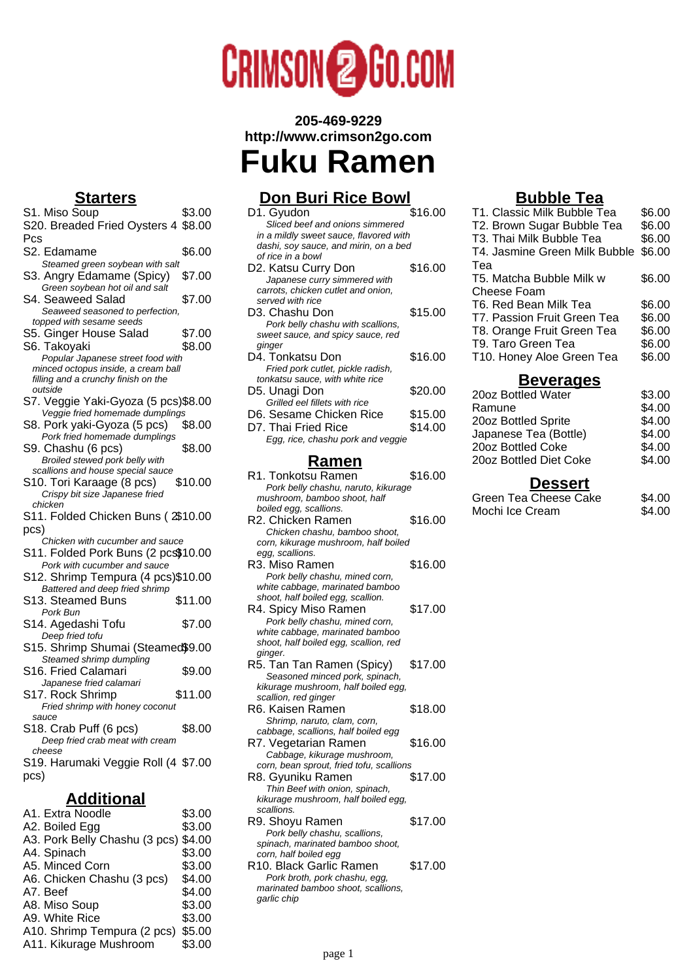# **CRIMSON<sup>2</sup>**GO.COM

#### **205-469-9229 http://www.crimson2go.com**

**Fuku Ramen**

## **Don Buri Rice Bowl**

|                                          | <u>DON DUIT RICE DOWI</u> |
|------------------------------------------|---------------------------|
| D1. Gyudon                               | \$16.00                   |
| Sliced beef and onions simmered          |                           |
| in a mildly sweet sauce, flavored with   |                           |
| dashi, soy sauce, and mirin, on a bed    |                           |
| of rice in a bowl                        |                           |
| D2. Katsu Curry Don                      | \$16.00                   |
| Japanese curry simmered with             |                           |
| carrots, chicken cutlet and onion,       |                           |
| served with rice                         |                           |
| D3. Chashu Don                           | \$15.00                   |
| Pork belly chashu with scallions,        |                           |
| sweet sauce, and spicy sauce, red        |                           |
| ginger                                   |                           |
| D4. Tonkatsu Don                         | \$16.00                   |
| Fried pork cutlet, pickle radish,        |                           |
| tonkatsu sauce, with white rice          |                           |
| D5. Unagi Don                            | \$20.00                   |
| Grilled eel fillets with rice            |                           |
| D6. Sesame Chicken Rice                  | \$15.00                   |
|                                          |                           |
| D7. Thai Fried Rice                      | \$14.00                   |
| Egg, rice, chashu pork and veggie        |                           |
|                                          |                           |
| <u>Ramen</u>                             |                           |
| R1. Tonkotsu Ramen                       | \$16.00                   |
| Pork belly chashu, naruto, kikurage      |                           |
| mushroom, bamboo shoot, half             |                           |
| boiled egg, scallions.                   |                           |
| R2. Chicken Ramen                        | \$16.00                   |
| Chicken chashu, bamboo shoot,            |                           |
| corn, kikurage mushroom, half boiled     |                           |
| egg, scallions.                          |                           |
| R3. Miso Ramen                           | \$16.00                   |
| Pork belly chashu, mined corn,           |                           |
| white cabbage, marinated bamboo          |                           |
| shoot, half boiled egg, scallion.        |                           |
| R4. Spicy Miso Ramen                     | \$17.00                   |
|                                          |                           |
|                                          |                           |
| Pork belly chashu, mined corn,           |                           |
| white cabbage, marinated bamboo          |                           |
| shoot, half boiled egg, scallion, red    |                           |
| ginger.                                  |                           |
| R5. Tan Tan Ramen (Spicy)                | \$17.00                   |
| Seasoned minced pork, spinach,           |                           |
| kikurage mushroom, half boiled egg,      |                           |
| scallion, red ginger                     |                           |
| R6. Kaisen Ramen                         | \$18.00                   |
| Shrimp, naruto, clam, corn,              |                           |
| cabbage, scallions, half boiled egg      |                           |
| R7. Vegetarian Ramen                     | \$16.00                   |
| Cabbage, kikurage mushroom,              |                           |
| corn, bean sprout, fried tofu, scallions |                           |
| R8. Gyuniku Ramen                        | \$17.00                   |
| Thin Beef with onion, spinach,           |                           |
| kikurage mushroom, half boiled egg,      |                           |
| scallions.                               |                           |
| R9. Shoyu Ramen                          | \$17.00                   |
| Pork belly chashu, scallions,            |                           |
| spinach, marinated bamboo shoot,         |                           |
| corn, half boiled egg                    |                           |
| R10. Black Garlic Ramen                  | \$17.00                   |
| Pork broth, pork chashu, egg,            |                           |
| marinated bamboo shoot, scallions,       |                           |

#### **Bubble Tea**

| T1. Classic Milk Bubble Tea   | \$6.00 |
|-------------------------------|--------|
| T2. Brown Sugar Bubble Tea    | \$6.00 |
| T3. Thai Milk Bubble Tea      | \$6.00 |
| T4. Jasmine Green Milk Bubble | \$6.00 |
| Tea                           |        |
| T5. Matcha Bubble Milk w      | \$6.00 |
| Cheese Foam                   |        |
| T6. Red Bean Milk Tea         | \$6.00 |
| T7. Passion Fruit Green Tea   | \$6.00 |
| T8. Orange Fruit Green Tea    | \$6.00 |
| T9. Taro Green Tea            | \$6.00 |
| T10. Honey Aloe Green Tea     | \$6.00 |
|                               |        |

#### **Beverages**

| 20oz Bottled Water     | \$3.00 |
|------------------------|--------|
| Ramune                 | \$4.00 |
| 20oz Bottled Sprite    | \$4.00 |
| Japanese Tea (Bottle)  | \$4.00 |
| 20oz Bottled Coke      | \$4.00 |
| 20oz Bottled Diet Coke | \$4.00 |
|                        |        |

#### **Dessert**

| Green Tea Cheese Cake | \$4.00 |
|-----------------------|--------|
| Mochi Ice Cream       | \$4.00 |

### **Starters**

| <u>olaneis</u>                                                      |         |
|---------------------------------------------------------------------|---------|
| S1. Miso Soup                                                       | \$3.00  |
| S20. Breaded Fried Oysters 4 \$8.00                                 |         |
| Pcs                                                                 |         |
| S2. Edamame                                                         | \$6.00  |
| Steamed green soybean with salt                                     |         |
| S3. Angry Edamame (Spicy)                                           | \$7.00  |
| Green soybean hot oil and salt                                      |         |
| S4. Seaweed Salad                                                   | \$7.00  |
| Seaweed seasoned to perfection,                                     |         |
| topped with sesame seeds                                            |         |
| S5. Ginger House Salad                                              | \$7.00  |
| S6. Takoyaki                                                        | \$8.00  |
| Popular Japanese street food with                                   |         |
| minced octopus inside, a cream ball                                 |         |
| filling and a crunchy finish on the<br>outside                      |         |
| S7. Veggie Yaki-Gyoza (5 pcs)\$8.00                                 |         |
| Veggie fried homemade dumplings                                     |         |
| S8. Pork yaki-Gyoza (5 pcs)                                         | \$8.00  |
| Pork fried homemade dumplings                                       |         |
| S9. Chashu (6 pcs)                                                  | \$8.00  |
| Broiled stewed pork belly with                                      |         |
| scallions and house special sauce                                   |         |
| S10. Tori Karaage (8 pcs)                                           | \$10.00 |
| Crispy bit size Japanese fried                                      |         |
| chicken                                                             |         |
| S11. Folded Chicken Buns (2\$10.00                                  |         |
| pcs)                                                                |         |
| Chicken with cucumber and sauce                                     |         |
| S11. Folded Pork Buns (2 pcs\$10.00<br>Pork with cucumber and sauce |         |
| S12. Shrimp Tempura (4 pcs)\$10.00                                  |         |
| Battered and deep fried shrimp                                      |         |
| S13. Steamed Buns                                                   | \$11.00 |
| Pork Bun                                                            |         |
| S14. Agedashi Tofu                                                  | \$7.00  |
| Deep fried tofu                                                     |         |
| S15. Shrimp Shumai (Steamed\$9.00                                   |         |
| Steamed shrimp dumpling                                             |         |
| S16. Fried Calamari                                                 | \$9.00  |
| Japanese fried calamari                                             |         |
| S17. Rock Shrimp                                                    | \$11.00 |
|                                                                     |         |
| Fried shrimp with honey coconut                                     |         |
| sauce                                                               |         |
| S18. Crab Puff (6 pcs)                                              | \$8.00  |
| Deep fried crab meat with cream                                     |         |
| cheese                                                              |         |
| S19. Harumaki Veggie Roll (4 \$7.00                                 |         |
| pcs)                                                                |         |
| <u>dditional</u>                                                    |         |

| A1. Extra Noodle              | \$3.00 |
|-------------------------------|--------|
| A2. Boiled Egg                | \$3.00 |
| A3. Pork Belly Chashu (3 pcs) | \$4.00 |
| A4. Spinach                   | \$3.00 |
| A5. Minced Corn               | \$3.00 |
| A6. Chicken Chashu (3 pcs)    | \$4.00 |
| A7. Beef                      | \$4.00 |
| A8. Miso Soup                 | \$3.00 |
| A9. White Rice                | \$3.00 |
| A10. Shrimp Tempura (2 pcs)   | \$5.00 |
| A11. Kikurage Mushroom        | \$3.00 |
|                               |        |